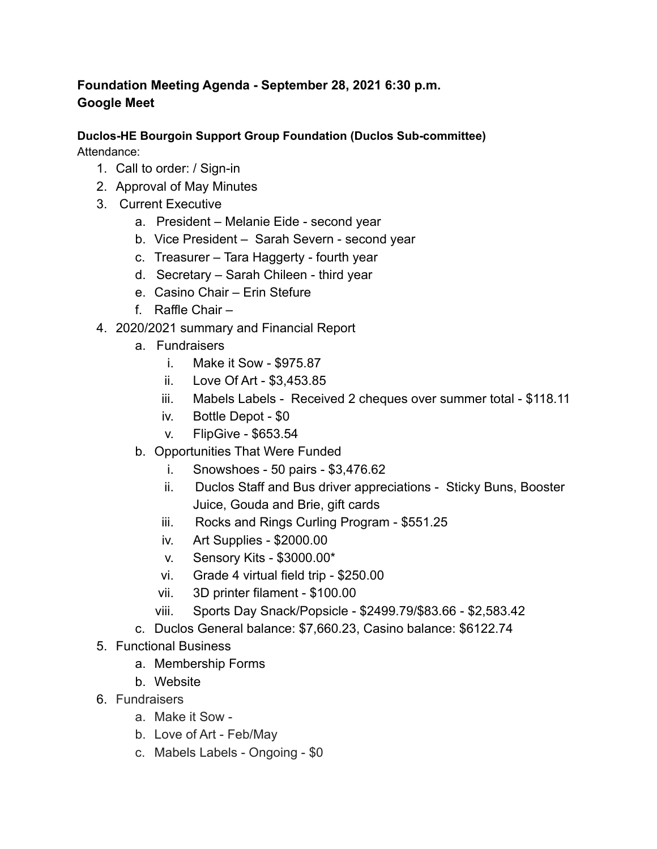## **Foundation Meeting Agenda - September 28, 2021 6:30 p.m. Google Meet**

**Duclos-HE Bourgoin Support Group Foundation (Duclos Sub-committee)** Attendance:

- 1. Call to order: / Sign-in
- 2. Approval of May Minutes
- 3. Current Executive
	- a. President Melanie Eide second year
	- b. Vice President Sarah Severn second year
	- c. Treasurer Tara Haggerty fourth year
	- d. Secretary Sarah Chileen third year
	- e. Casino Chair Erin Stefure
	- f. Raffle Chair –
- 4. 2020/2021 summary and Financial Report
	- a. Fundraisers
		- i. Make it Sow \$975.87
		- ii. Love Of Art \$3,453.85
		- iii. Mabels Labels Received 2 cheques over summer total \$118.11
		- iv. Bottle Depot \$0
		- v. FlipGive \$653.54
	- b. Opportunities That Were Funded
		- i. Snowshoes 50 pairs \$3,476.62
		- ii. Duclos Staff and Bus driver appreciations Sticky Buns, Booster Juice, Gouda and Brie, gift cards
		- iii. Rocks and Rings Curling Program \$551.25
		- iv. Art Supplies \$2000.00
		- v. Sensory Kits \$3000.00\*
		- vi. Grade 4 virtual field trip \$250.00
		- vii. 3D printer filament \$100.00
		- viii. Sports Day Snack/Popsicle \$2499.79/\$83.66 \$2,583.42
	- c. Duclos General balance: \$7,660.23, Casino balance: \$6122.74
- 5. Functional Business
	- a. Membership Forms
	- b. Website
- 6. Fundraisers
	- a. Make it Sow -
	- b. Love of Art Feb/May
	- c. Mabels Labels Ongoing \$0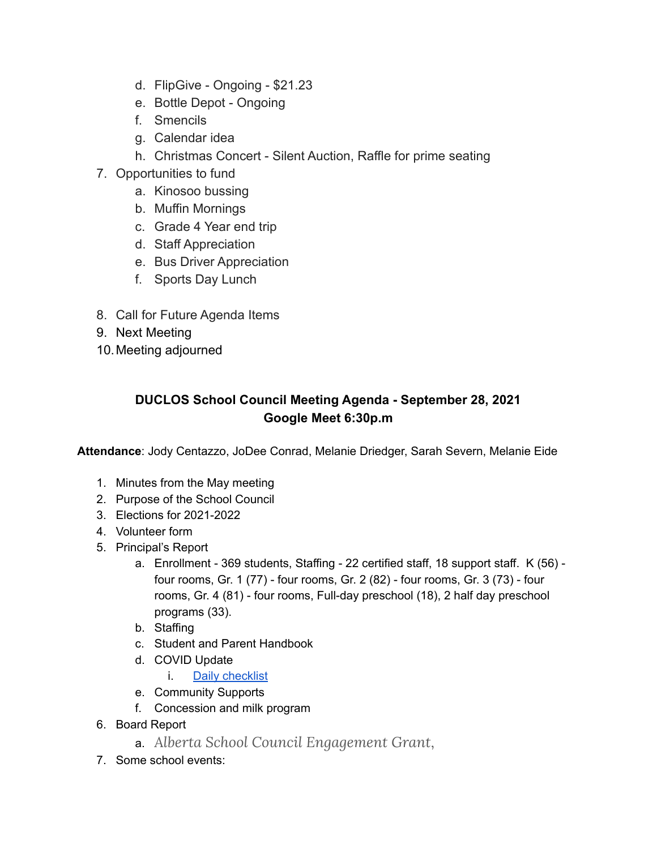- d. FlipGive Ongoing \$21.23
- e. Bottle Depot Ongoing
- f. Smencils
- g. Calendar idea
- h. Christmas Concert Silent Auction, Raffle for prime seating
- 7. Opportunities to fund
	- a. Kinosoo bussing
	- b. Muffin Mornings
	- c. Grade 4 Year end trip
	- d. Staff Appreciation
	- e. Bus Driver Appreciation
	- f. Sports Day Lunch
- 8. Call for Future Agenda Items
- 9. Next Meeting
- 10.Meeting adjourned

## **DUCLOS School Council Meeting Agenda - September 28, 2021 Google Meet 6:30p.m**

**Attendance**: Jody Centazzo, JoDee Conrad, Melanie Driedger, Sarah Severn, Melanie Eide

- 1. Minutes from the May meeting
- 2. Purpose of the School Council
- 3. Elections for 2021-2022
- 4. Volunteer form
- 5. Principal's Report
	- a. Enrollment 369 students, Staffing 22 certified staff, 18 support staff. K (56) four rooms, Gr. 1 (77) - four rooms, Gr. 2 (82) - four rooms, Gr. 3 (73) - four rooms, Gr. 4 (81) - four rooms, Full-day preschool (18), 2 half day preschool programs (33).
	- b. Staffing
	- c. Student and Parent Handbook
	- d. COVID Update
		- i. Daily [checklist](https://open.alberta.ca/publications/covid-19-information-alberta-health-daily-checklist)
	- e. Community Supports
	- f. Concession and milk program
- 6. Board Report
	- a. *Alberta School Council Engagement Grant*,
- 7. Some school events: